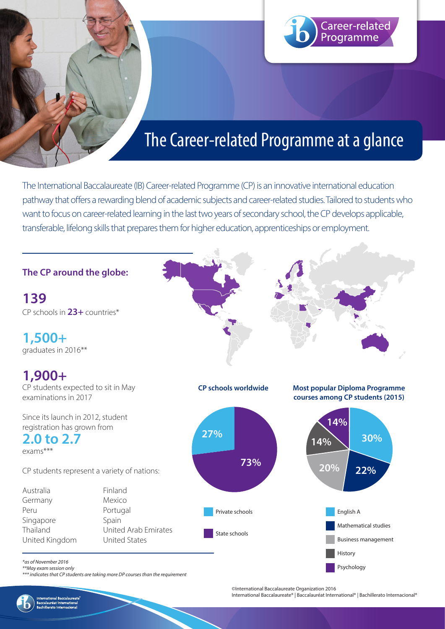

# The Career-related Programme at a glance

The International Baccalaureate (IB) Career-related Programme (CP) is an innovative international education pathway that offers a rewarding blend of academic subjects and career-related studies. Tailored to students who want to focus on career-related learning in the last two years of secondary school, the CP develops applicable, transferable, lifelong skills that prepares them for higher education, apprenticeships or employment.

**The CP around the globe:** 

**139** CP schools in **23+** countries\*

**1,500+**  graduates in 2016\*\*

## **1,900+**

CP students expected to sit in May examinations in 2017

Since its launch in 2012, student registration has grown from

**2.0 to 2.7** exams\*\*\*

CP students represent a variety of nations:

Australia Finland Germany Mexico Peru Portugal Singapore Spain Thailand United Arab Emirates United Kingdom United States







*\*as of November 2016 \*\*May exam session only*

*\*\*\* indicates that CP students are taking more DP courses than the requirement*

©International Baccalaureate Organization 2016

International Baccalaureate® | Baccalauréat International® | Bachillerato Internacional®